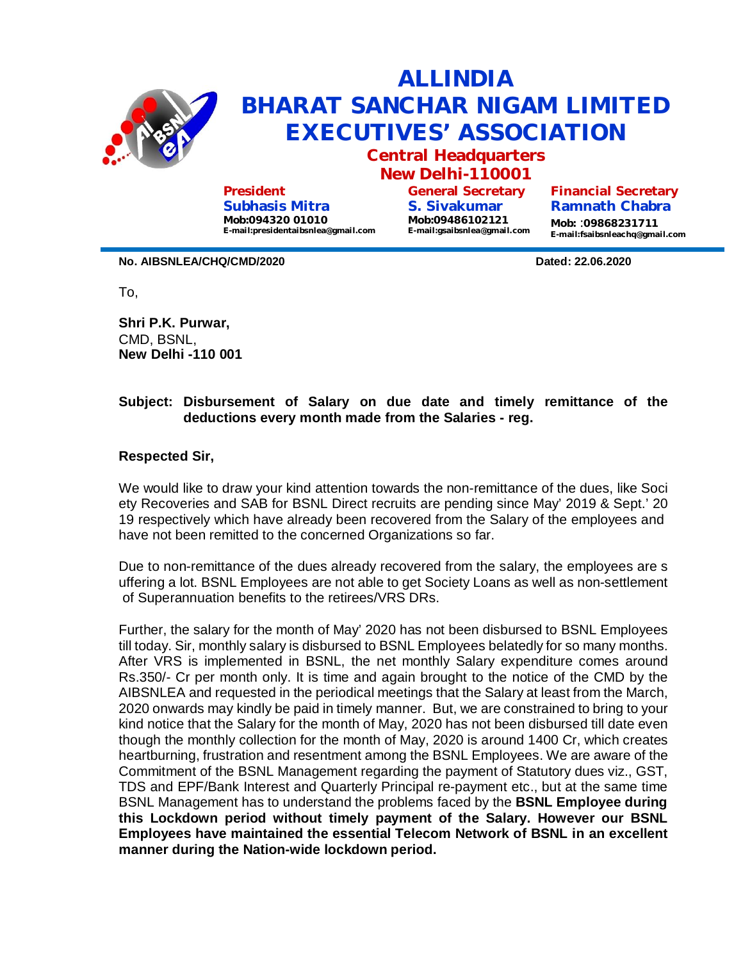

**Subhasis Mitra Mob:094320 01010 E-mail:presidentaibsnlea@gmail.com**

**S. Sivakumar Mob:09486102121 E-mail:gsaibsnlea@gmail.com**

**Ramnath Chabra Mob:** :**09868231711 E-mail:fsaibsnleachq@gmail.com**

**No. AIBSNLEA/CHQ/CMD/2020 Dated: 22.06.2020**

To,

**Shri P.K. Purwar,** CMD, BSNL, **New Delhi -110 001**

## **Subject: Disbursement of Salary on due date and timely remittance of the deductions every month made from the Salaries - reg.**

**Respected Sir,**

We would like to draw your kind attention towards the non-remittance of the dues, like Soci ety Recoveries and SAB for BSNL Direct recruits are pending since May' 2019 & Sept.' 20 19 respectively which have already been recovered from the Salary of the employees and have not been remitted to the concerned Organizations so far.

Due to non-remittance of the dues already recovered from the salary, the employees are s uffering a lot. BSNL Employees are not able to get Society Loans as well as non-settlement of Superannuation benefits to the retirees/VRS DRs.

Further, the salary for the month of May' 2020 has not been disbursed to BSNL Employees till today. Sir, monthly salary is disbursed to BSNL Employees belatedly for so many months. After VRS is implemented in BSNL, the net monthly Salary expenditure comes around Rs.350/- Cr per month only. It is time and again brought to the notice of the CMD by the AIBSNLEA and requested in the periodical meetings that the Salary at least from the March, 2020 onwards may kindly be paid in timely manner. But, we are constrained to bring to your kind notice that the Salary for the month of May, 2020 has not been disbursed till date even though the monthly collection for the month of May, 2020 is around 1400 Cr, which creates heartburning, frustration and resentment among the BSNL Employees. We are aware of the Commitment of the BSNL Management regarding the payment of Statutory dues viz., GST, TDS and EPF/Bank Interest and Quarterly Principal re-payment etc., but at the same time BSNL Management has to understand the problems faced by the **BSNL Employee during this Lockdown period without timely payment of the Salary. However our BSNL Employees have maintained the essential Telecom Network of BSNL in an excellent manner during the Nation-wide lockdown period.**